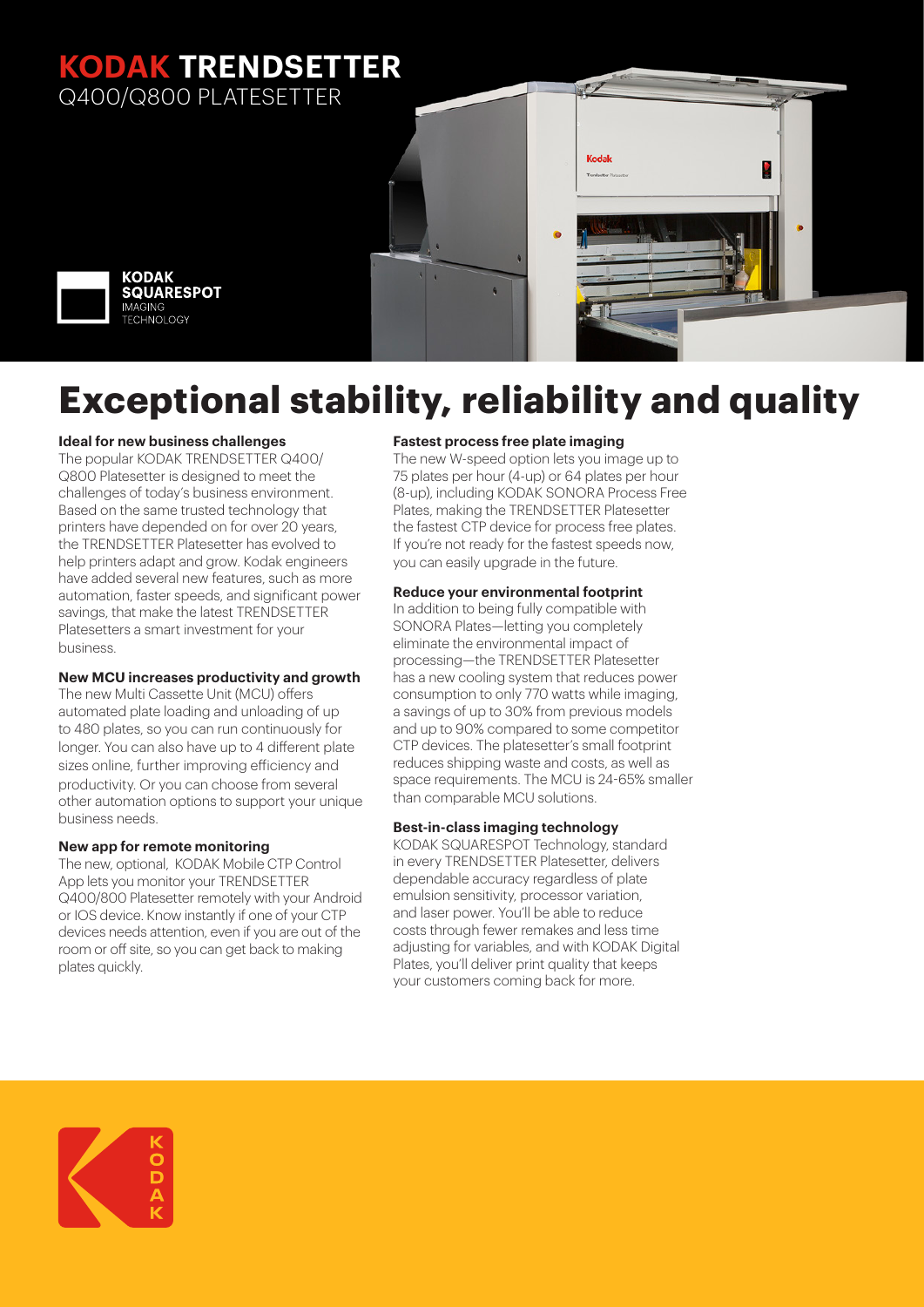### **KODAK TRENDSETTER** Q400/Q800 PLATESETTER



# **Exceptional stability, reliability and quality**

#### **Ideal for new business challenges**

The popular KODAK TRENDSETTER Q400/ Q800 Platesetter is designed to meet the challenges of today's business environment. Based on the same trusted technology that printers have depended on for over 20 years, the TRENDSETTER Platesetter has evolved to help printers adapt and grow. Kodak engineers have added several new features, such as more automation, faster speeds, and significant power savings, that make the latest TRENDSETTER Platesetters a smart investment for your business.

#### **New MCU increases productivity and growth**

The new Multi Cassette Unit (MCU) offers automated plate loading and unloading of up to 480 plates, so you can run continuously for longer. You can also have up to 4 different plate sizes online, further improving efficiency and productivity. Or you can choose from several other automation options to support your unique business needs.

#### **New app for remote monitoring**

The new, optional, KODAK Mobile CTP Control App lets you monitor your TRENDSETTER Q400/800 Platesetter remotely with your Android or IOS device. Know instantly if one of your CTP devices needs attention, even if you are out of the room or off site, so you can get back to making plates quickly.

#### **Fastest process free plate imaging**

The new W-speed option lets you image up to 75 plates per hour (4-up) or 64 plates per hour (8-up), including KODAK SONORA Process Free Plates, making the TRENDSETTER Platesetter the fastest CTP device for process free plates. If you're not ready for the fastest speeds now, you can easily upgrade in the future.

Kodal

L.

#### **Reduce your environmental footprint**

In addition to being fully compatible with SONORA Plates—letting you completely eliminate the environmental impact of processing—the TRENDSETTER Platesetter has a new cooling system that reduces power consumption to only 770 watts while imaging, a savings of up to 30% from previous models and up to 90% compared to some competitor CTP devices. The platesetter's small footprint reduces shipping waste and costs, as well as space requirements. The MCU is 24-65% smaller than comparable MCU solutions.

#### **Best-in-class imaging technology**

KODAK SQUARESPOT Technology, standard in every TRENDSETTER Platesetter, delivers dependable accuracy regardless of plate emulsion sensitivity, processor variation, and laser power. You'll be able to reduce costs through fewer remakes and less time adjusting for variables, and with KODAK Digital Plates, you'll deliver print quality that keeps your customers coming back for more.